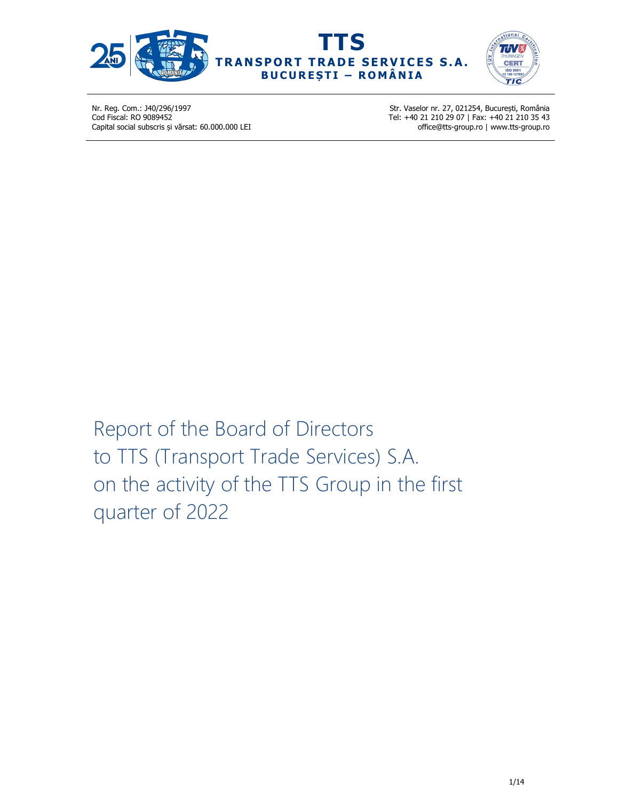





Str. Vaselor nr. 27, 021254, București, România Tel: +40 21 210 29 07 | Fax: +40 21 210 35 43 office@tts-group.ro | www.tts-group.ro

Report of the Board of Directors to TTS (Transport Trade Services) S.A. on the activity of the TTS Group in the first quarter of 2022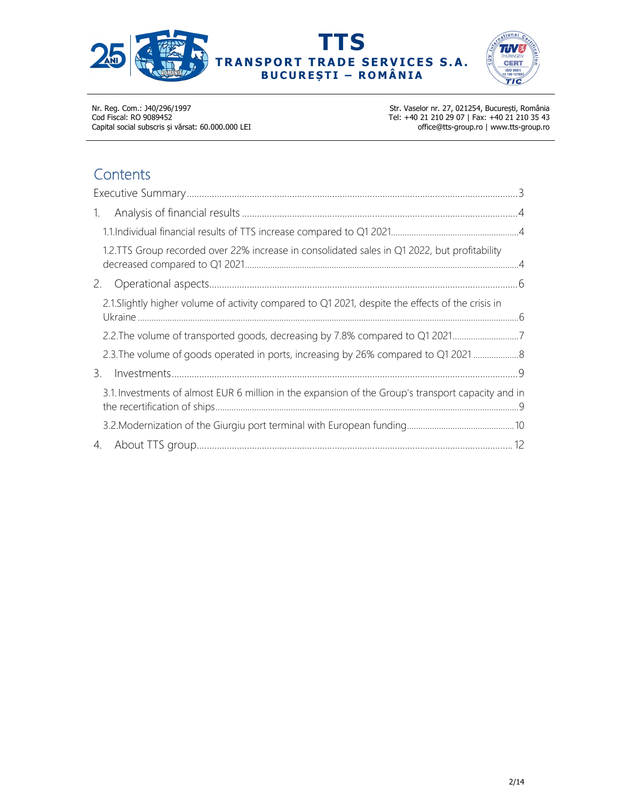





Str. Vaselor nr. 27, 021254, București, România Tel: +40 21 210 29 07 | Fax: +40 21 210 35 43 office@tts-group.ro | www.tts-group.ro

# **Contents**

| 1.                                                                                                 |  |
|----------------------------------------------------------------------------------------------------|--|
|                                                                                                    |  |
| 1.2.TTS Group recorded over 22% increase in consolidated sales in Q1 2022, but profitability       |  |
| 2.                                                                                                 |  |
| 2.1. Slightly higher volume of activity compared to Q1 2021, despite the effects of the crisis in  |  |
|                                                                                                    |  |
| 2.3. The volume of goods operated in ports, increasing by 26% compared to Q1 2021                  |  |
| 3.                                                                                                 |  |
| 3.1. Investments of almost EUR 6 million in the expansion of the Group's transport capacity and in |  |
|                                                                                                    |  |
| 4.                                                                                                 |  |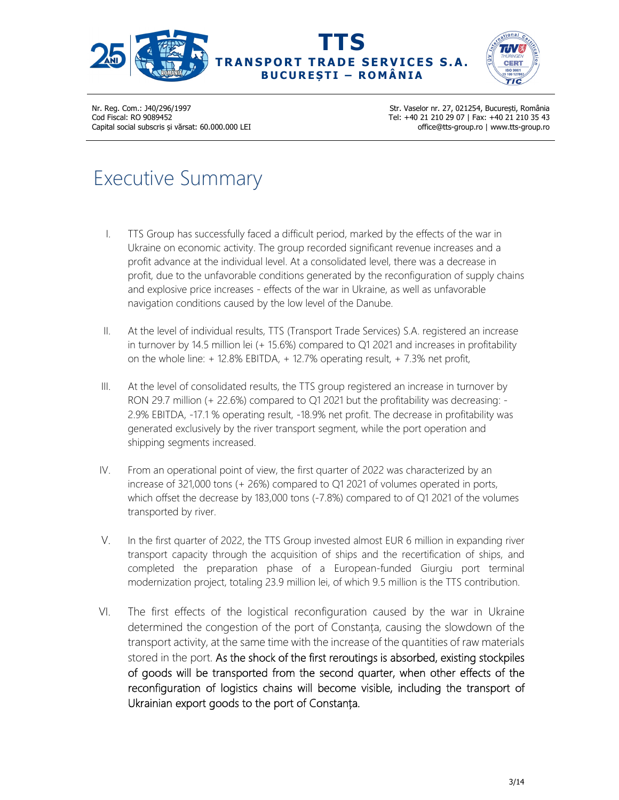





Str. Vaselor nr. 27, 021254, București, România Tel: +40 21 210 29 07 | Fax: +40 21 210 35 43 office@tts-group.ro | www.tts-group.ro

# Executive Summary

- I. TTS Group has successfully faced a difficult period, marked by the effects of the war in Ukraine on economic activity. The group recorded significant revenue increases and a profit advance at the individual level. At a consolidated level, there was a decrease in profit, due to the unfavorable conditions generated by the reconfiguration of supply chains and explosive price increases - effects of the war in Ukraine, as well as unfavorable navigation conditions caused by the low level of the Danube.
- II. At the level of individual results, TTS (Transport Trade Services) S.A. registered an increase in turnover by 14.5 million lei (+ 15.6%) compared to Q1 2021 and increases in profitability on the whole line: + 12.8% EBITDA, + 12.7% operating result, + 7.3% net profit,
- III. At the level of consolidated results, the TTS group registered an increase in turnover by RON 29.7 million (+ 22.6%) compared to Q1 2021 but the profitability was decreasing: - 2.9% EBITDA, -17.1 % operating result, -18.9% net profit. The decrease in profitability was generated exclusively by the river transport segment, while the port operation and shipping segments increased.
- IV. From an operational point of view, the first quarter of 2022 was characterized by an increase of 321,000 tons (+ 26%) compared to Q1 2021 of volumes operated in ports, which offset the decrease by 183,000 tons (-7.8%) compared to of Q1 2021 of the volumes transported by river.
- V. In the first quarter of 2022, the TTS Group invested almost EUR 6 million in expanding river transport capacity through the acquisition of ships and the recertification of ships, and completed the preparation phase of a European-funded Giurgiu port terminal modernization project, totaling 23.9 million lei, of which 9.5 million is the TTS contribution.
- VI. The first effects of the logistical reconfiguration caused by the war in Ukraine determined the congestion of the port of Constanța, causing the slowdown of the transport activity, at the same time with the increase of the quantities of raw materials stored in the port. As the shock of the first reroutings is absorbed, existing stockpiles of goods will be transported from the second quarter, when other effects of the reconfiguration of logistics chains will become visible, including the transport of Ukrainian export goods to the port of Constanța.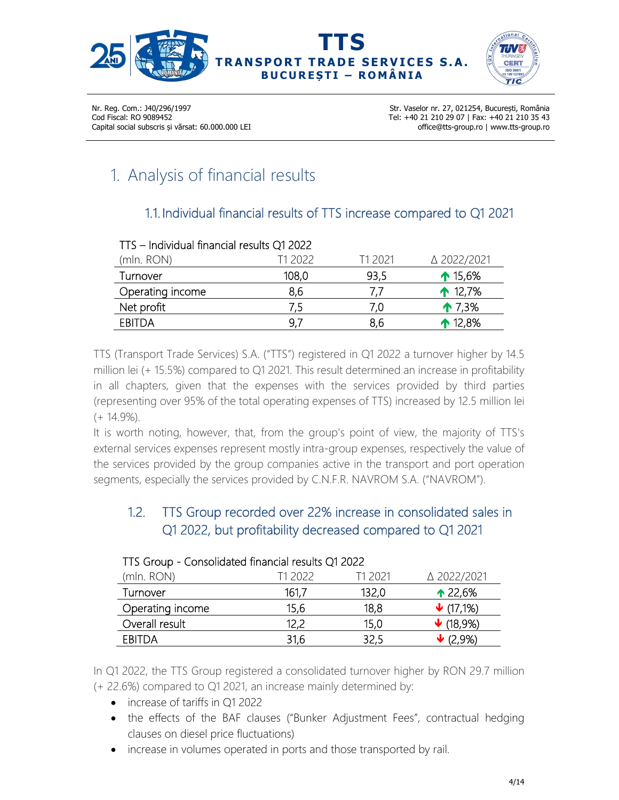



Str. Vaselor nr. 27, 021254, București, România Tel: +40 21 210 29 07 | Fax: +40 21 210 35 43 office@tts-group.ro | www.tts-group.ro

# 1. Analysis of financial results

## 1.1. Individual financial results of TTS increase compared to Q1 2021

| TTS - Individual financial results Q1 2022 |         |                |                    |
|--------------------------------------------|---------|----------------|--------------------|
| (mln. RON)                                 | T1 2022 | T1 2021        | △ 2022/2021        |
| Turnover                                   | 108,0   | 93,5           | $\uparrow$ 15,6%   |
| Operating income                           | 8,6     | $\prime\prime$ | $\spadesuit$ 12,7% |
| Net profit                                 | 7,5     | 7.0            | $\uparrow$ 7,3%    |
| <b>EBITDA</b>                              | 9,7     | 8,6            | $\spadesuit$ 12,8% |

TTS (Transport Trade Services) S.A. ("TTS") registered in Q1 2022 a turnover higher by 14.5 million lei (+ 15.5%) compared to Q1 2021. This result determined an increase in profitability in all chapters, given that the expenses with the services provided by third parties (representing over 95% of the total operating expenses of TTS) increased by 12.5 million lei (+ 14.9%).

It is worth noting, however, that, from the group's point of view, the majority of TTS's external services expenses represent mostly intra-group expenses, respectively the value of the services provided by the group companies active in the transport and port operation segments, especially the services provided by C.N.F.R. NAVROM S.A. ("NAVROM").

## 1.2. TTS Group recorded over 22% increase in consolidated sales in Q1 2022, but profitability decreased compared to Q1 2021

| TTS Group - Consolidated Illiancial results QTZ022 |         |         |                              |
|----------------------------------------------------|---------|---------|------------------------------|
| (mln. RON)                                         | T1 2022 | T1 2021 | △ 2022/2021                  |
| Turnover                                           | 161,7   | 132,0   | $\triangle 22,6%$            |
| Operating income                                   | 15,6    | 18,8    | $\bigvee$ (17,1%)            |
| Overall result                                     | 12,2    | 15,0    | $\bigvee$ (18,9%)            |
| <b>EBITDA</b>                                      | 31,6    | 32,5    | $\blacktriangleright$ (2,9%) |

#### TTS Group - Consolidated financial results Q1 2022

In Q1 2022, the TTS Group registered a consolidated turnover higher by RON 29.7 million (+ 22.6%) compared to Q1 2021, an increase mainly determined by:

- increase of tariffs in O1 2022
- the effects of the BAF clauses ("Bunker Adjustment Fees", contractual hedging clauses on diesel price fluctuations)
- increase in volumes operated in ports and those transported by rail.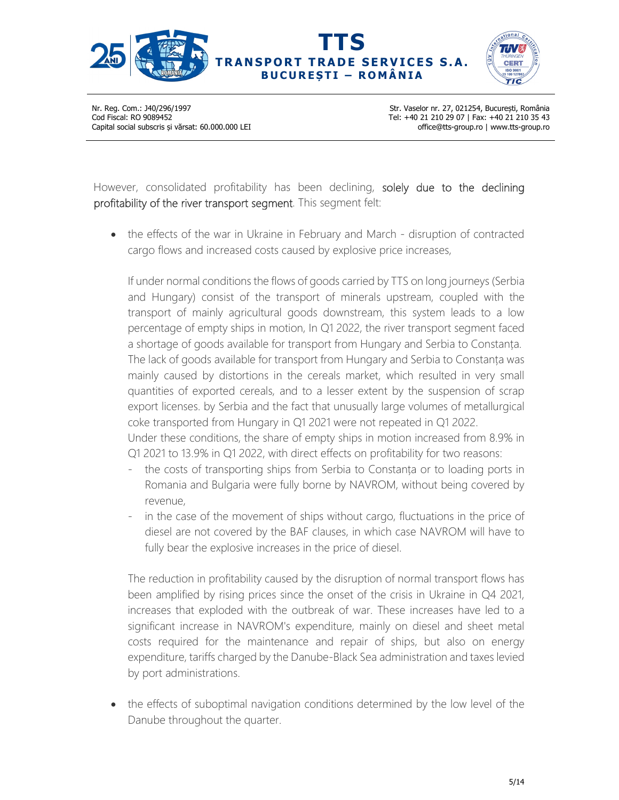



Str. Vaselor nr. 27, 021254, București, România Tel: +40 21 210 29 07 | Fax: +40 21 210 35 43 office@tts-group.ro | www.tts-group.ro

However, consolidated profitability has been declining, solely due to the declining profitability of the river transport segment. This segment felt:

• the effects of the war in Ukraine in February and March - disruption of contracted cargo flows and increased costs caused by explosive price increases,

If under normal conditions the flows of goods carried by TTS on long journeys (Serbia and Hungary) consist of the transport of minerals upstream, coupled with the transport of mainly agricultural goods downstream, this system leads to a low percentage of empty ships in motion, In Q1 2022, the river transport segment faced a shortage of goods available for transport from Hungary and Serbia to Constanța. The lack of goods available for transport from Hungary and Serbia to Constanța was mainly caused by distortions in the cereals market, which resulted in very small quantities of exported cereals, and to a lesser extent by the suspension of scrap export licenses. by Serbia and the fact that unusually large volumes of metallurgical coke transported from Hungary in Q1 2021 were not repeated in Q1 2022.

Under these conditions, the share of empty ships in motion increased from 8.9% in Q1 2021 to 13.9% in Q1 2022, with direct effects on profitability for two reasons:

- the costs of transporting ships from Serbia to Constanta or to loading ports in Romania and Bulgaria were fully borne by NAVROM, without being covered by revenue,
- in the case of the movement of ships without cargo, fluctuations in the price of diesel are not covered by the BAF clauses, in which case NAVROM will have to fully bear the explosive increases in the price of diesel.

The reduction in profitability caused by the disruption of normal transport flows has been amplified by rising prices since the onset of the crisis in Ukraine in Q4 2021, increases that exploded with the outbreak of war. These increases have led to a significant increase in NAVROM's expenditure, mainly on diesel and sheet metal costs required for the maintenance and repair of ships, but also on energy expenditure, tariffs charged by the Danube-Black Sea administration and taxes levied by port administrations.

• the effects of suboptimal navigation conditions determined by the low level of the Danube throughout the quarter.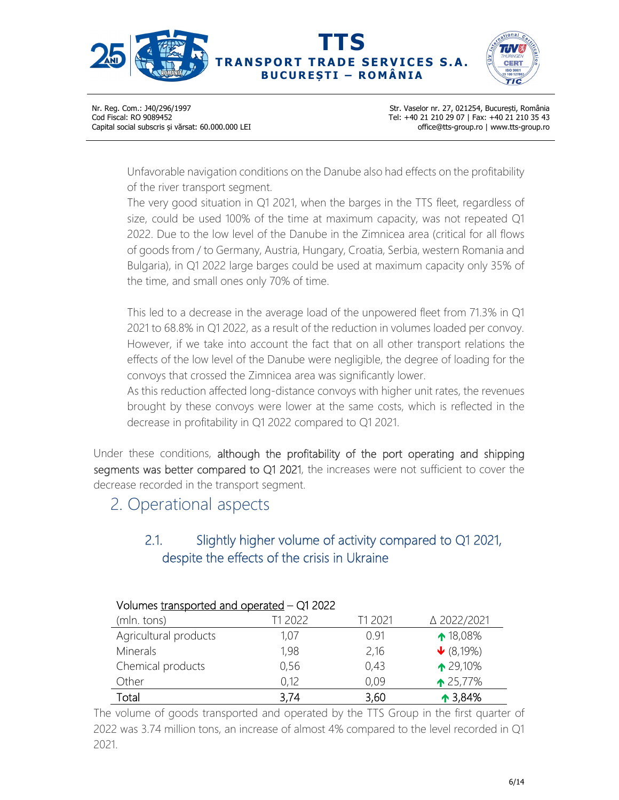



Str. Vaselor nr. 27, 021254, București, România Tel: +40 21 210 29 07 | Fax: +40 21 210 35 43 office@tts-group.ro | www.tts-group.ro

Unfavorable navigation conditions on the Danube also had effects on the profitability of the river transport segment.

The very good situation in Q1 2021, when the barges in the TTS fleet, regardless of size, could be used 100% of the time at maximum capacity, was not repeated Q1 2022. Due to the low level of the Danube in the Zimnicea area (critical for all flows of goods from / to Germany, Austria, Hungary, Croatia, Serbia, western Romania and Bulgaria), in Q1 2022 large barges could be used at maximum capacity only 35% of the time, and small ones only 70% of time.

This led to a decrease in the average load of the unpowered fleet from 71.3% in Q1 2021 to 68.8% in Q1 2022, as a result of the reduction in volumes loaded per convoy. However, if we take into account the fact that on all other transport relations the effects of the low level of the Danube were negligible, the degree of loading for the convoys that crossed the Zimnicea area was significantly lower.

As this reduction affected long-distance convoys with higher unit rates, the revenues brought by these convoys were lower at the same costs, which is reflected in the decrease in profitability in Q1 2022 compared to Q1 2021.

Under these conditions, although the profitability of the port operating and shipping segments was better compared to Q1 2021, the increases were not sufficient to cover the decrease recorded in the transport segment.

# 2. Operational aspects

## 2.1. Slightly higher volume of activity compared to Q1 2021, despite the effects of the crisis in Ukraine

| Volumes transported and operated – QT 2022 |         |         |                    |  |
|--------------------------------------------|---------|---------|--------------------|--|
| (mln. tons)                                | T1 2022 | T1 2021 | △ 2022/2021        |  |
| Agricultural products                      | 1,07    | 0.91    | ↑ 18,08%           |  |
| <b>Minerals</b>                            | 1,98    | 2,16    | $\bigvee$ (8,19%)  |  |
| Chemical products                          | 0,56    | 0,43    | ↑ 29,10%           |  |
| Other                                      | 0,12    | 0,09    | $\triangle$ 25,77% |  |
| Total                                      | 3,74    | 3,60    | $\triangle$ 3,84%  |  |

#### Volumes transported and operated – Q1 2022

The volume of goods transported and operated by the TTS Group in the first quarter of 2022 was 3.74 million tons, an increase of almost 4% compared to the level recorded in Q1 2021.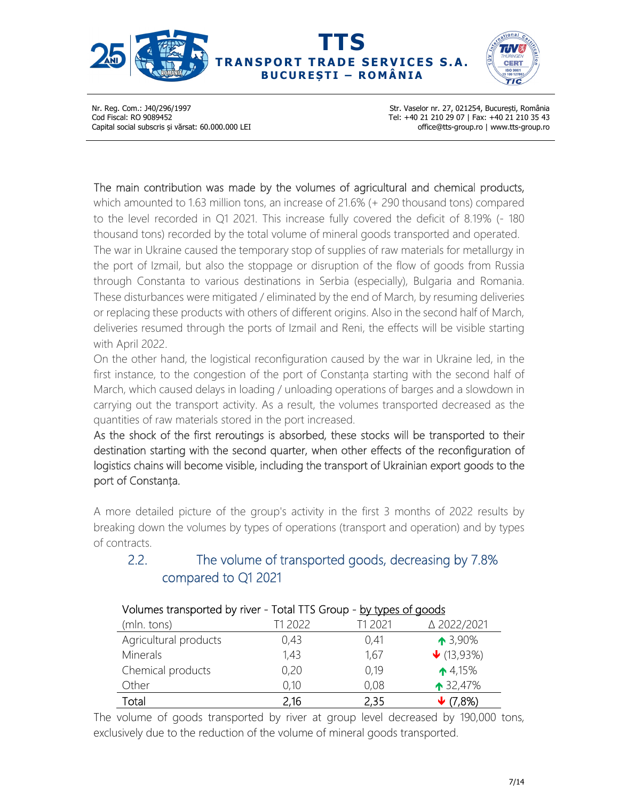



Str. Vaselor nr. 27, 021254, București, România Tel: +40 21 210 29 07 | Fax: +40 21 210 35 43 office@tts-group.ro | www.tts-group.ro

#### The main contribution was made by the volumes of agricultural and chemical products,

which amounted to 1.63 million tons, an increase of 21.6% (+ 290 thousand tons) compared to the level recorded in Q1 2021. This increase fully covered the deficit of 8.19% (- 180 thousand tons) recorded by the total volume of mineral goods transported and operated. The war in Ukraine caused the temporary stop of supplies of raw materials for metallurgy in the port of Izmail, but also the stoppage or disruption of the flow of goods from Russia through Constanta to various destinations in Serbia (especially), Bulgaria and Romania. These disturbances were mitigated / eliminated by the end of March, by resuming deliveries or replacing these products with others of different origins. Also in the second half of March, deliveries resumed through the ports of Izmail and Reni, the effects will be visible starting with April 2022.

On the other hand, the logistical reconfiguration caused by the war in Ukraine led, in the first instance, to the congestion of the port of Constanța starting with the second half of March, which caused delays in loading / unloading operations of barges and a slowdown in carrying out the transport activity. As a result, the volumes transported decreased as the quantities of raw materials stored in the port increased.

As the shock of the first reroutings is absorbed, these stocks will be transported to their destination starting with the second quarter, when other effects of the reconfiguration of logistics chains will become visible, including the transport of Ukrainian export goods to the port of Constanța.

A more detailed picture of the group's activity in the first 3 months of 2022 results by breaking down the volumes by types of operations (transport and operation) and by types of contracts.

### 2.2. The volume of transported goods, decreasing by 7.8% compared to Q1 2021

| Volumes transported by river - Total TTS Group - by types of goods |         |         |                                |
|--------------------------------------------------------------------|---------|---------|--------------------------------|
| (mln. tons)                                                        | T1 2022 | T1 2021 | △ 2022/2021                    |
| Agricultural products                                              | 0,43    | 0,41    | $\triangle$ 3,90%              |
| <b>Minerals</b>                                                    | 1,43    | 1,67    | $\blacktriangleright$ (13,93%) |
| Chemical products                                                  | 0,20    | 0,19    | $\triangle$ 4,15%              |
| Other                                                              | 0,10    | 0,08    | $\uparrow$ 32,47%              |
| Total                                                              | 2,16    | 2,35    | ,8%)                           |

The volume of goods transported by river at group level decreased by 190,000 tons, exclusively due to the reduction of the volume of mineral goods transported.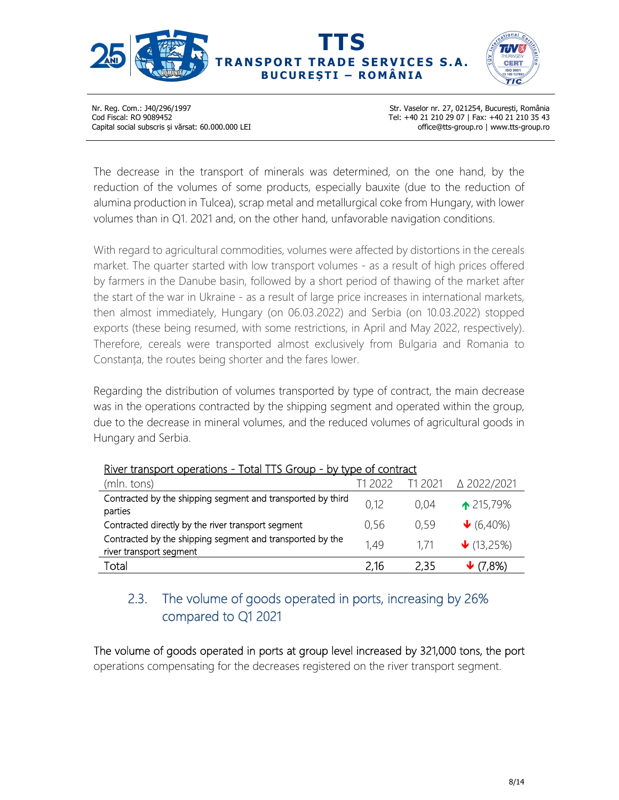



Str. Vaselor nr. 27, 021254, București, România Tel: +40 21 210 29 07 | Fax: +40 21 210 35 43 office@tts-group.ro | www.tts-group.ro

The decrease in the transport of minerals was determined, on the one hand, by the reduction of the volumes of some products, especially bauxite (due to the reduction of alumina production in Tulcea), scrap metal and metallurgical coke from Hungary, with lower volumes than in Q1. 2021 and, on the other hand, unfavorable navigation conditions.

With regard to agricultural commodities, volumes were affected by distortions in the cereals market. The quarter started with low transport volumes - as a result of high prices offered by farmers in the Danube basin, followed by a short period of thawing of the market after the start of the war in Ukraine - as a result of large price increases in international markets, then almost immediately, Hungary (on 06.03.2022) and Serbia (on 10.03.2022) stopped exports (these being resumed, with some restrictions, in April and May 2022, respectively). Therefore, cereals were transported almost exclusively from Bulgaria and Romania to Constanța, the routes being shorter and the fares lower.

Regarding the distribution of volumes transported by type of contract, the main decrease was in the operations contracted by the shipping segment and operated within the group, due to the decrease in mineral volumes, and the reduced volumes of agricultural goods in Hungary and Serbia.

| iwa aangelic operadoris<br>TULUI TIJ UIUUN                                           | <b>Dy</b> type of corrulate |         |                                |
|--------------------------------------------------------------------------------------|-----------------------------|---------|--------------------------------|
| (mln. tons)                                                                          | T1 2022                     | T1 2021 | △ 2022/2021                    |
| Contracted by the shipping segment and transported by third<br>parties               | 0,12                        | 0.04    | $\triangle 215,79\%$           |
| Contracted directly by the river transport segment                                   | 0,56                        | 0.59    | $\bigvee$ (6,40%)              |
| Contracted by the shipping segment and transported by the<br>river transport segment | 1,49                        | 1.71    | $\blacktriangleright$ (13,25%) |
| Total                                                                                | 2,16                        | 2,35    | $\blacktriangleright$ (7,8%)   |
|                                                                                      |                             |         |                                |

#### River transport operations - Total TTS Group - by type of contract

## 2.3. The volume of goods operated in ports, increasing by 26% compared to Q1 2021

The volume of goods operated in ports at group level increased by 321,000 tons, the port operations compensating for the decreases registered on the river transport segment.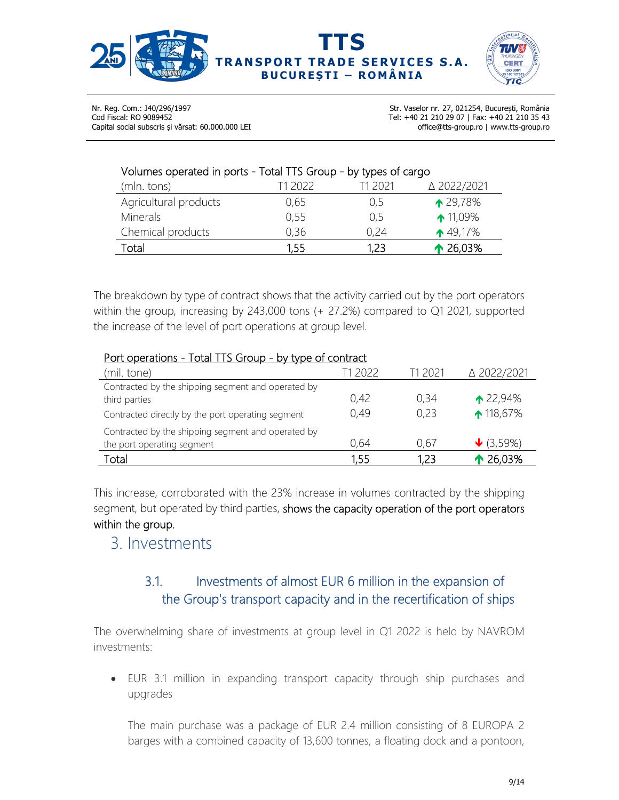



Str. Vaselor nr. 27, 021254, București, România Tel: +40 21 210 29 07 | Fax: +40 21 210 35 43 office@tts-group.ro | www.tts-group.ro

#### Volumes operated in ports - Total TTS Group - by types of cargo

| (mln. tons)           | T1 2022 | T1 2021 | △ 2022/2021         |
|-----------------------|---------|---------|---------------------|
| Agricultural products | 0.65    | 0,5     | $\triangle 29,78\%$ |
| Minerals              | 0,55    | 0,5     | $\uparrow$ 11,09%   |
| Chemical products     | 0,36    | 0.24    | $\triangle$ 49,17%  |
| Total                 | 1,55    | 1,23    | $\triangle$ 26,03%  |

The breakdown by type of contract shows that the activity carried out by the port operators within the group, increasing by 243,000 tons (+ 27.2%) compared to Q1 2021, supported the increase of the level of port operations at group level.

#### Port operations - Total TTS Group - by type of contract

| (mil. tone)                                                                                                              | T1 2022      | T1 2021      | △ 2022/2021                                 |
|--------------------------------------------------------------------------------------------------------------------------|--------------|--------------|---------------------------------------------|
| Contracted by the shipping segment and operated by<br>third parties<br>Contracted directly by the port operating segment | 0,42<br>0.49 | 0,34<br>0,23 | $\triangle 22,94\%$<br>$\spadesuit$ 118,67% |
| Contracted by the shipping segment and operated by<br>the port operating segment                                         | 0,64         | 0.67         | $\bigvee$ (3,59%)                           |
| Total                                                                                                                    | 1,55         | 1,23         | $\triangle$ 26,03%                          |

This increase, corroborated with the 23% increase in volumes contracted by the shipping segment, but operated by third parties, shows the capacity operation of the port operators within the group.

## 3. Investments

## 3.1. Investments of almost EUR 6 million in the expansion of the Group's transport capacity and in the recertification of ships

The overwhelming share of investments at group level in Q1 2022 is held by NAVROM investments:

 EUR 3.1 million in expanding transport capacity through ship purchases and upgrades

The main purchase was a package of EUR 2.4 million consisting of 8 EUROPA 2 barges with a combined capacity of 13,600 tonnes, a floating dock and a pontoon,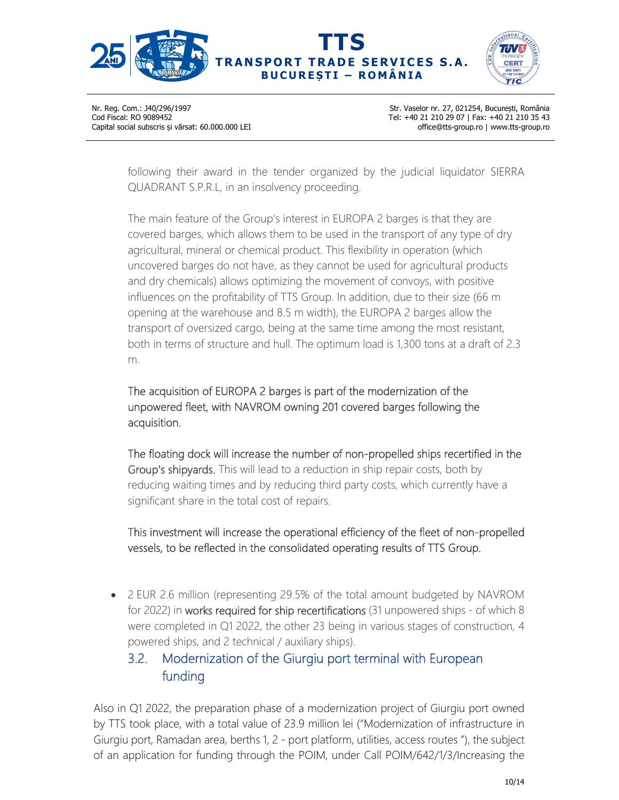



Str. Vaselor nr. 27, 021254, București, România Tel: +40 21 210 29 07 | Fax: +40 21 210 35 43 office@tts-group.ro | www.tts-group.ro

following their award in the tender organized by the judicial liquidator SIERRA QUADRANT S.P.R.L, in an insolvency proceeding.

The main feature of the Group's interest in EUROPA 2 barges is that they are covered barges, which allows them to be used in the transport of any type of dry agricultural, mineral or chemical product. This flexibility in operation (which uncovered barges do not have, as they cannot be used for agricultural products and dry chemicals) allows optimizing the movement of convoys, with positive influences on the profitability of TTS Group. In addition, due to their size (66 m opening at the warehouse and 8.5 m width), the EUROPA 2 barges allow the transport of oversized cargo, being at the same time among the most resistant, both in terms of structure and hull. The optimum load is 1,300 tons at a draft of 2.3 m.

The acquisition of EUROPA 2 barges is part of the modernization of the unpowered fleet, with NAVROM owning 201 covered barges following the acquisition.

The floating dock will increase the number of non-propelled ships recertified in the Group's shipyards. This will lead to a reduction in ship repair costs, both by reducing waiting times and by reducing third party costs, which currently have a significant share in the total cost of repairs.

This investment will increase the operational efficiency of the fleet of non-propelled vessels, to be reflected in the consolidated operating results of TTS Group.

 2 EUR 2.6 million (representing 29.5% of the total amount budgeted by NAVROM for 2022) in works required for ship recertifications (31 unpowered ships - of which 8 were completed in Q1 2022, the other 23 being in various stages of construction, 4 powered ships, and 2 technical / auxiliary ships).

## 3.2. Modernization of the Giurgiu port terminal with European funding

Also in Q1 2022, the preparation phase of a modernization project of Giurgiu port owned by TTS took place, with a total value of 23.9 million lei ("Modernization of infrastructure in Giurgiu port, Ramadan area, berths 1, 2 - port platform, utilities, access routes "), the subject of an application for funding through the POIM, under Call POIM/642/1/3/Increasing the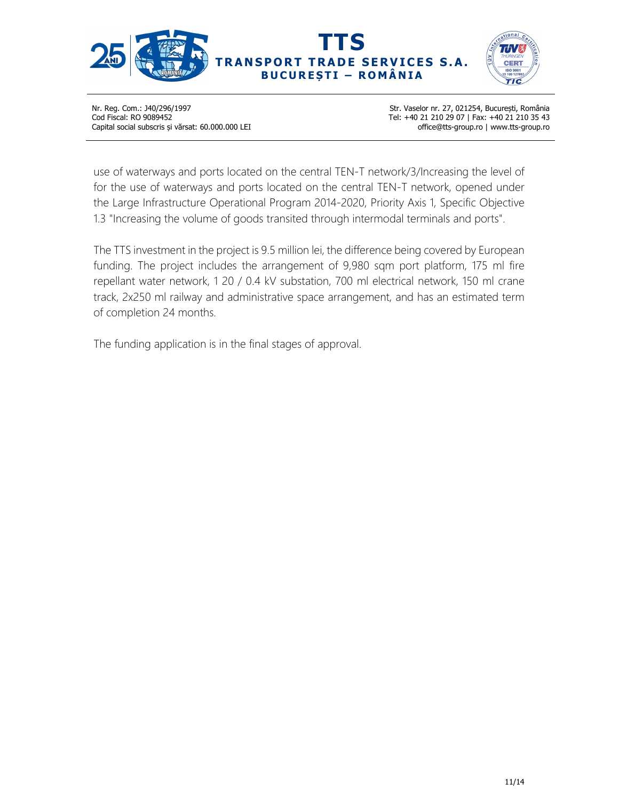



Str. Vaselor nr. 27, 021254, București, România Tel: +40 21 210 29 07 | Fax: +40 21 210 35 43 office@tts-group.ro | www.tts-group.ro

use of waterways and ports located on the central TEN-T network/3/Increasing the level of for the use of waterways and ports located on the central TEN-T network, opened under the Large Infrastructure Operational Program 2014-2020, Priority Axis 1, Specific Objective 1.3 "Increasing the volume of goods transited through intermodal terminals and ports".

The TTS investment in the project is 9.5 million lei, the difference being covered by European funding. The project includes the arrangement of 9,980 sqm port platform, 175 ml fire repellant water network, 1 20 / 0.4 kV substation, 700 ml electrical network, 150 ml crane track, 2x250 ml railway and administrative space arrangement, and has an estimated term of completion 24 months.

The funding application is in the final stages of approval.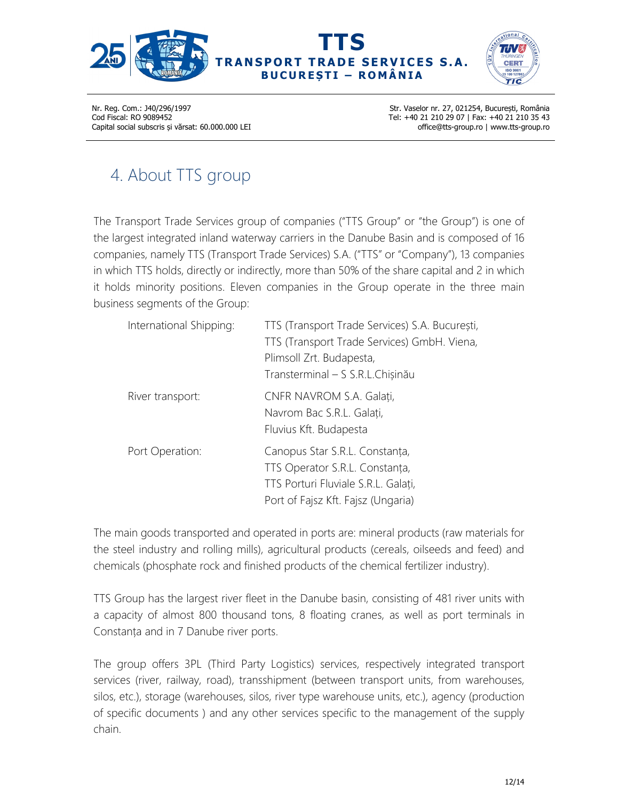



Str. Vaselor nr. 27, 021254, București, România Tel: +40 21 210 29 07 | Fax: +40 21 210 35 43 office@tts-group.ro | www.tts-group.ro

# 4. About TTS group

The Transport Trade Services group of companies ("TTS Group" or "the Group") is one of the largest integrated inland waterway carriers in the Danube Basin and is composed of 16 companies, namely TTS (Transport Trade Services) S.A. ("TTS" or "Company"), 13 companies in which TTS holds, directly or indirectly, more than 50% of the share capital and 2 in which it holds minority positions. Eleven companies in the Group operate in the three main business segments of the Group:

| International Shipping: | TTS (Transport Trade Services) S.A. București,<br>TTS (Transport Trade Services) GmbH. Viena,<br>Plimsoll Zrt. Budapesta,<br>Transterminal - S S.R.L.Chișinău |
|-------------------------|---------------------------------------------------------------------------------------------------------------------------------------------------------------|
| River transport:        | CNFR NAVROM S.A. Galați,<br>Navrom Bac S.R.L. Galați,<br>Fluvius Kft. Budapesta                                                                               |
| Port Operation:         | Canopus Star S.R.L. Constanța,<br>TTS Operator S.R.L. Constanța,<br>TTS Porturi Fluviale S.R.L. Galați,<br>Port of Fajsz Kft. Fajsz (Ungaria)                 |

The main goods transported and operated in ports are: mineral products (raw materials for the steel industry and rolling mills), agricultural products (cereals, oilseeds and feed) and chemicals (phosphate rock and finished products of the chemical fertilizer industry).

TTS Group has the largest river fleet in the Danube basin, consisting of 481 river units with a capacity of almost 800 thousand tons, 8 floating cranes, as well as port terminals in Constanța and in 7 Danube river ports.

The group offers 3PL (Third Party Logistics) services, respectively integrated transport services (river, railway, road), transshipment (between transport units, from warehouses, silos, etc.), storage (warehouses, silos, river type warehouse units, etc.), agency (production of specific documents ) and any other services specific to the management of the supply chain.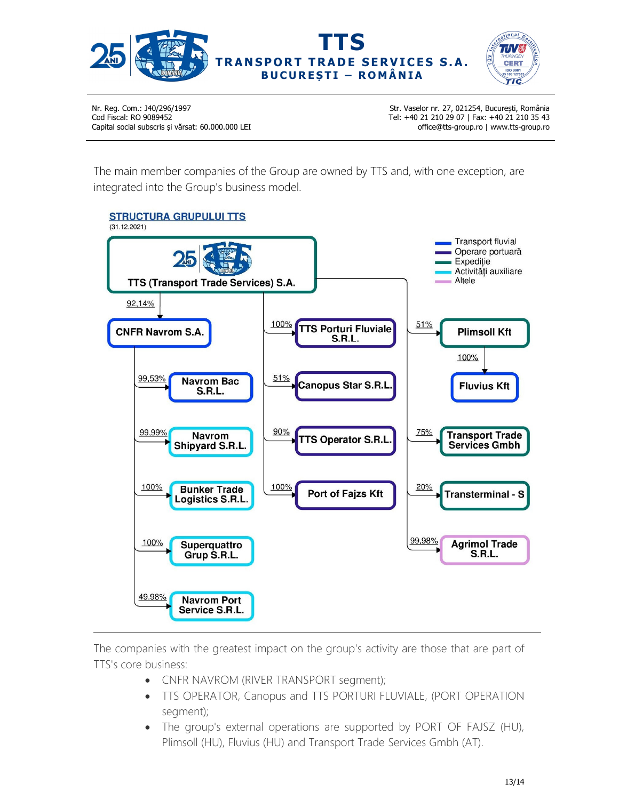



Str. Vaselor nr. 27, 021254, București, România Tel: +40 21 210 29 07 | Fax: +40 21 210 35 43 office@tts-group.ro | www.tts-group.ro

The main member companies of the Group are owned by TTS and, with one exception, are integrated into the Group's business model.



The companies with the greatest impact on the group's activity are those that are part of TTS's core business:

- CNFR NAVROM (RIVER TRANSPORT segment);
- TTS OPERATOR, Canopus and TTS PORTURI FLUVIALE, (PORT OPERATION segment);
- The group's external operations are supported by PORT OF FAJSZ (HU), Plimsoll (HU), Fluvius (HU) and Transport Trade Services Gmbh (AT).